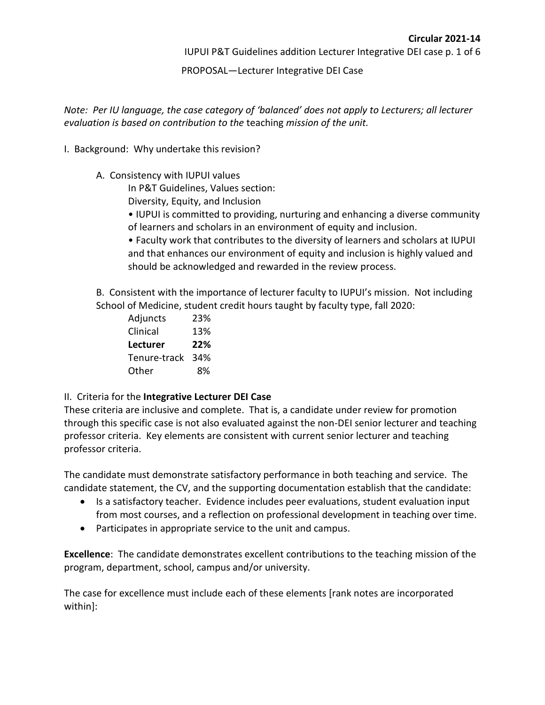PROPOSAL—Lecturer Integrative DEI Case

*Note: Per IU language, the case category of 'balanced' does not apply to Lecturers; all lecturer evaluation is based on contribution to the* teaching *mission of the unit.* 

- I. Background: Why undertake this revision?
	- A. Consistency with IUPUI values

In P&T Guidelines, Values section:

Diversity, Equity, and Inclusion

- IUPUI is committed to providing, nurturing and enhancing a diverse community of learners and scholars in an environment of equity and inclusion.
- Faculty work that contributes to the diversity of learners and scholars at IUPUI and that enhances our environment of equity and inclusion is highly valued and should be acknowledged and rewarded in the review process.

B. Consistent with the importance of lecturer faculty to IUPUI's mission. Not including School of Medicine, student credit hours taught by faculty type, fall 2020:

Adjuncts 23% Clinical 13% **Lecturer 22%** Tenure-track 34% Other 8%

### II. Criteria for the **Integrative Lecturer DEI Case**

These criteria are inclusive and complete. That is, a candidate under review for promotion through this specific case is not also evaluated against the non-DEI senior lecturer and teaching professor criteria. Key elements are consistent with current senior lecturer and teaching professor criteria.

The candidate must demonstrate satisfactory performance in both teaching and service. The candidate statement, the CV, and the supporting documentation establish that the candidate:

- Is a satisfactory teacher. Evidence includes peer evaluations, student evaluation input from most courses, and a reflection on professional development in teaching over time.
- Participates in appropriate service to the unit and campus.

**Excellence**: The candidate demonstrates excellent contributions to the teaching mission of the program, department, school, campus and/or university.

The case for excellence must include each of these elements [rank notes are incorporated within]: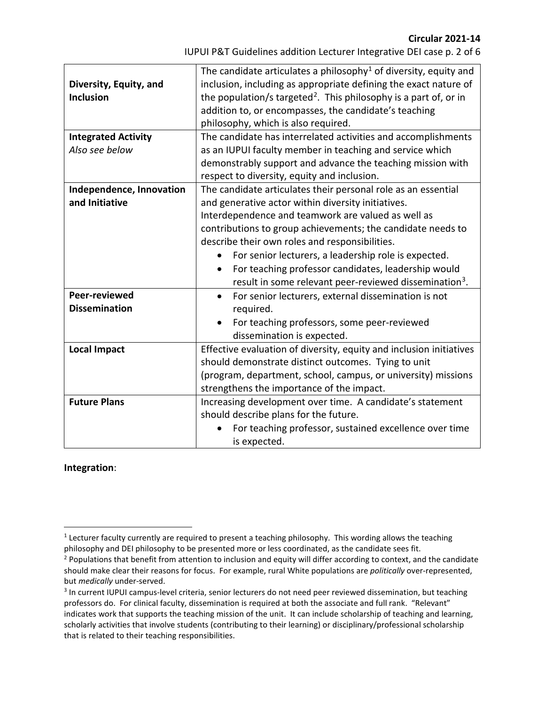**Circular 2021-14**

| IUPUI P&T Guidelines addition Lecturer Integrative DEI case p. 2 of 6 |  |
|-----------------------------------------------------------------------|--|
|-----------------------------------------------------------------------|--|

| Diversity, Equity, and<br><b>Inclusion</b><br><b>Integrated Activity</b>            | The candidate articulates a philosophy <sup>1</sup> of diversity, equity and<br>inclusion, including as appropriate defining the exact nature of<br>the population/s targeted <sup>2</sup> . This philosophy is a part of, or in<br>addition to, or encompasses, the candidate's teaching<br>philosophy, which is also required.<br>The candidate has interrelated activities and accomplishments                                                                                                                                                                                                                                         |
|-------------------------------------------------------------------------------------|-------------------------------------------------------------------------------------------------------------------------------------------------------------------------------------------------------------------------------------------------------------------------------------------------------------------------------------------------------------------------------------------------------------------------------------------------------------------------------------------------------------------------------------------------------------------------------------------------------------------------------------------|
| Also see below                                                                      | as an IUPUI faculty member in teaching and service which                                                                                                                                                                                                                                                                                                                                                                                                                                                                                                                                                                                  |
|                                                                                     | demonstrably support and advance the teaching mission with                                                                                                                                                                                                                                                                                                                                                                                                                                                                                                                                                                                |
|                                                                                     | respect to diversity, equity and inclusion.                                                                                                                                                                                                                                                                                                                                                                                                                                                                                                                                                                                               |
| Independence, Innovation<br>and Initiative<br>Peer-reviewed<br><b>Dissemination</b> | The candidate articulates their personal role as an essential<br>and generative actor within diversity initiatives.<br>Interdependence and teamwork are valued as well as<br>contributions to group achievements; the candidate needs to<br>describe their own roles and responsibilities.<br>For senior lecturers, a leadership role is expected.<br>$\bullet$<br>For teaching professor candidates, leadership would<br>$\bullet$<br>result in some relevant peer-reviewed dissemination <sup>3</sup> .<br>For senior lecturers, external dissemination is not<br>$\bullet$<br>required.<br>For teaching professors, some peer-reviewed |
|                                                                                     | dissemination is expected.                                                                                                                                                                                                                                                                                                                                                                                                                                                                                                                                                                                                                |
| <b>Local Impact</b>                                                                 | Effective evaluation of diversity, equity and inclusion initiatives<br>should demonstrate distinct outcomes. Tying to unit<br>(program, department, school, campus, or university) missions<br>strengthens the importance of the impact.                                                                                                                                                                                                                                                                                                                                                                                                  |
| <b>Future Plans</b>                                                                 | Increasing development over time. A candidate's statement<br>should describe plans for the future.<br>For teaching professor, sustained excellence over time<br>is expected.                                                                                                                                                                                                                                                                                                                                                                                                                                                              |

#### **Integration**:

<span id="page-1-0"></span> $1$  Lecturer faculty currently are required to present a teaching philosophy. This wording allows the teaching philosophy and DEI philosophy to be presented more or less coordinated, as the candidate sees fit.

<span id="page-1-1"></span><sup>&</sup>lt;sup>2</sup> Populations that benefit from attention to inclusion and equity will differ according to context, and the candidate should make clear their reasons for focus. For example, rural White populations are *politically* over-represented, but *medically* under-served.<br><sup>3</sup> In current IUPUI campus-level criteria, senior lecturers do not need peer reviewed dissemination, but teaching

<span id="page-1-2"></span>professors do. For clinical faculty, dissemination is required at both the associate and full rank. "Relevant" indicates work that supports the teaching mission of the unit. It can include scholarship of teaching and learning, scholarly activities that involve students (contributing to their learning) or disciplinary/professional scholarship that is related to their teaching responsibilities.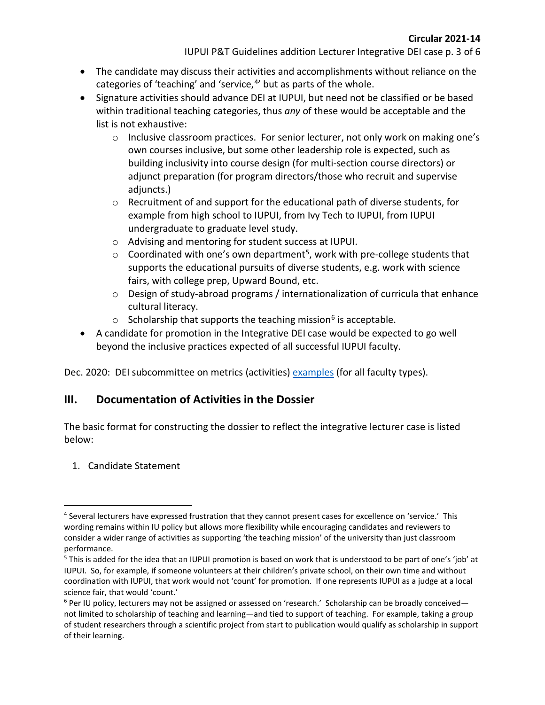- The candidate may discuss their activities and accomplishments without reliance on the categories of 'teaching' and 'service, $4$ ' but as parts of the whole.
- Signature activities should advance DEI at IUPUI, but need not be classified or be based within traditional teaching categories, thus *any* of these would be acceptable and the list is not exhaustive:
	- $\circ$  Inclusive classroom practices. For senior lecturer, not only work on making one's own courses inclusive, but some other leadership role is expected, such as building inclusivity into course design (for multi-section course directors) or adjunct preparation (for program directors/those who recruit and supervise adjuncts.)
	- o Recruitment of and support for the educational path of diverse students, for example from high school to IUPUI, from Ivy Tech to IUPUI, from IUPUI undergraduate to graduate level study.
	- o Advising and mentoring for student success at IUPUI.
	- $\circ$  Coordinated with one's own department<sup>5</sup>, work with pre-college students that supports the educational pursuits of diverse students, e.g. work with science fairs, with college prep, Upward Bound, etc.
	- o Design of study-abroad programs / internationalization of curricula that enhance cultural literacy.
	- o Scholarship that supports the teaching mission<sup>[6](#page-2-2)</sup> is acceptable.
- A candidate for promotion in the Integrative DEI case would be expected to go well beyond the inclusive practices expected of all successful IUPUI faculty.

Dec. 2020: DEI subcommittee on metrics (activities) [examples](https://facultycouncil.iupui.edu/Committees/Subcommittee-on-DEI-Work-Metrics) (for all faculty types).

# **III. Documentation of Activities in the Dossier**

The basic format for constructing the dossier to reflect the integrative lecturer case is listed below:

# 1. Candidate Statement

<span id="page-2-0"></span><sup>4</sup> Several lecturers have expressed frustration that they cannot present cases for excellence on 'service.' This wording remains within IU policy but allows more flexibility while encouraging candidates and reviewers to consider a wider range of activities as supporting 'the teaching mission' of the university than just classroom performance.

<span id="page-2-1"></span><sup>5</sup> This is added for the idea that an IUPUI promotion is based on work that is understood to be part of one's 'job' at IUPUI. So, for example, if someone volunteers at their children's private school, on their own time and without coordination with IUPUI, that work would not 'count' for promotion. If one represents IUPUI as a judge at a local science fair, that would 'count.'

<span id="page-2-2"></span> $6$  Per IU policy, lecturers may not be assigned or assessed on 'research.' Scholarship can be broadly conceived not limited to scholarship of teaching and learning—and tied to support of teaching. For example, taking a group of student researchers through a scientific project from start to publication would qualify as scholarship in support of their learning.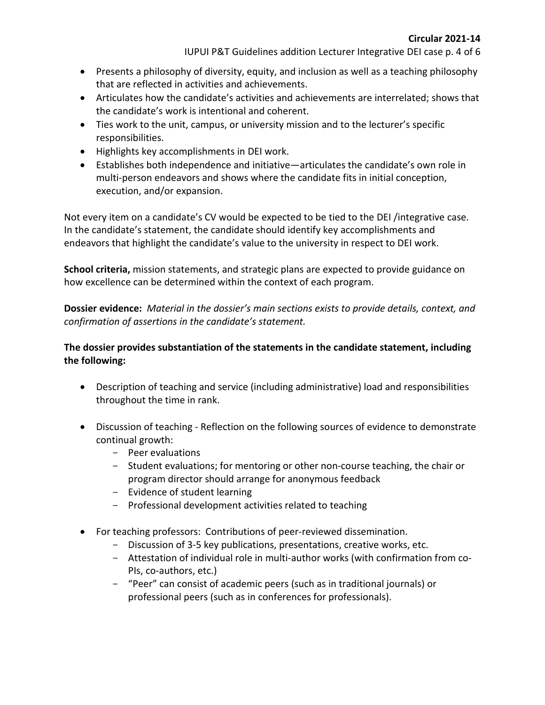IUPUI P&T Guidelines addition Lecturer Integrative DEI case p. 4 of 6

- Presents a philosophy of diversity, equity, and inclusion as well as a teaching philosophy that are reflected in activities and achievements.
- Articulates how the candidate's activities and achievements are interrelated; shows that the candidate's work is intentional and coherent.
- Ties work to the unit, campus, or university mission and to the lecturer's specific responsibilities.
- Highlights key accomplishments in DEI work.
- Establishes both independence and initiative—articulates the candidate's own role in multi-person endeavors and shows where the candidate fits in initial conception, execution, and/or expansion.

Not every item on a candidate's CV would be expected to be tied to the DEI /integrative case. In the candidate's statement, the candidate should identify key accomplishments and endeavors that highlight the candidate's value to the university in respect to DEI work.

**School criteria,** mission statements, and strategic plans are expected to provide guidance on how excellence can be determined within the context of each program.

**Dossier evidence:** *Material in the dossier's main sections exists to provide details, context, and confirmation of assertions in the candidate's statement.* 

## **The dossier provides substantiation of the statements in the candidate statement, including the following:**

- Description of teaching and service (including administrative) load and responsibilities throughout the time in rank.
- Discussion of teaching Reflection on the following sources of evidence to demonstrate continual growth:
	- $-$  Peer evaluations
	- Student evaluations; for mentoring or other non-course teaching, the chair or program director should arrange for anonymous feedback
	- Evidence of student learning
	- Professional development activities related to teaching
- For teaching professors: Contributions of peer-reviewed dissemination.
	- Discussion of 3-5 key publications, presentations, creative works, etc.
	- Attestation of individual role in multi-author works (with confirmation from co-PIs, co-authors, etc.)
	- "Peer" can consist of academic peers (such as in traditional journals) or professional peers (such as in conferences for professionals).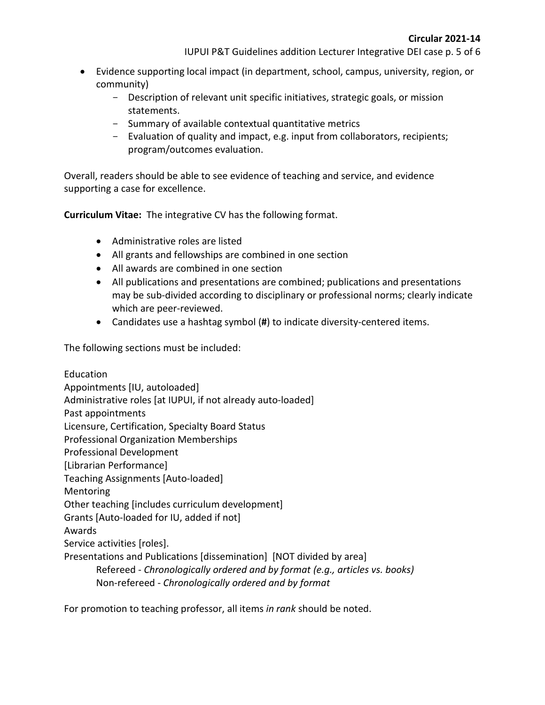- Evidence supporting local impact (in department, school, campus, university, region, or community)
	- Description of relevant unit specific initiatives, strategic goals, or mission statements.
	- Summary of available contextual quantitative metrics
	- Evaluation of quality and impact, e.g. input from collaborators, recipients; program/outcomes evaluation.

Overall, readers should be able to see evidence of teaching and service, and evidence supporting a case for excellence.

**Curriculum Vitae:** The integrative CV has the following format.

- Administrative roles are listed
- All grants and fellowships are combined in one section
- All awards are combined in one section
- All publications and presentations are combined; publications and presentations may be sub-divided according to disciplinary or professional norms; clearly indicate which are peer-reviewed.
- Candidates use a hashtag symbol (**#**) to indicate diversity-centered items.

The following sections must be included:

Education Appointments [IU, autoloaded] Administrative roles [at IUPUI, if not already auto-loaded] Past appointments Licensure, Certification, Specialty Board Status Professional Organization Memberships Professional Development [Librarian Performance] Teaching Assignments [Auto-loaded] Mentoring Other teaching [includes curriculum development] Grants [Auto-loaded for IU, added if not] Awards Service activities [roles]. Presentations and Publications [dissemination] [NOT divided by area] Refereed - *Chronologically ordered and by format (e.g., articles vs. books)* Non-refereed - *Chronologically ordered and by format*

For promotion to teaching professor, all items *in rank* should be noted.